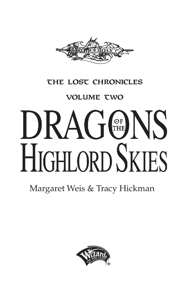

### THE LOST CHRONICLES

## VOLUME TWO

# **DRAGGENS HIGHLORD SKIES**

# Margaret Weis & Tracy Hickman

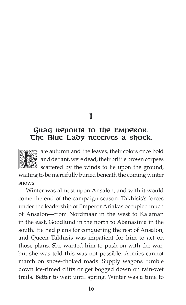1

#### Grag reports to the Emperor. The Blue Lady receives a shock.



ate autumn and the leaves, their colors once bold and defiant, were dead, their brittle brown corpses scattered by the winds to lie upon the ground,

waiting to be mercifully buried beneath the coming winter snows.

Winter was almost upon Ansalon, and with it would come the end of the campaign season. Takhisis's forces under the leadership of Emperor Ariakas occupied much of Ansalon—from Nordmaar in the west to Kalaman in the east, Goodlund in the north to Abanasinia in the south. He had plans for conquering the rest of Ansalon, and Queen Takhisis was impatient for him to act on those plans. She wanted him to push on with the war, but she was told this was not possible. Armies cannot march on snow-choked roads. Supply wagons tumble down ice-rimed cliffs or get bogged down on rain-wet trails. Better to wait until spring. Winter was a time to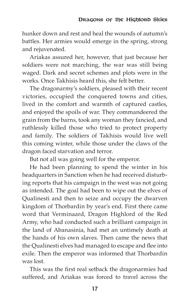hunker down and rest and heal the wounds of autumn's battles. Her armies would emerge in the spring, strong and rejuvenated.

Ariakas assured her, however, that just because her soldiers were not marching, the war was still being waged. Dark and secret schemes and plots were in the works. Once Takhisis heard this, she felt better.

The dragonarmy's soldiers, pleased with their recent victories, occupied the conquered towns and cities, lived in the comfort and warmth of captured castles, and enjoyed the spoils of war. They commandeered the grain from the barns, took any woman they fancied, and ruthlessly killed those who tried to protect property and family. The soldiers of Takhisis would live well this coming winter, while those under the claws of the dragon faced starvation and terror.

But not all was going well for the emperor.

He had been planning to spend the winter in his headquarters in Sanction when he had received disturbing reports that his campaign in the west was not going as intended. The goal had been to wipe out the elves of Qualinesti and then to seize and occupy the dwarven kingdom of Thorbardin by year's end. First there came word that Verminaard, Dragon Highlord of the Red Army, who had conducted such a brilliant campaign in the land of Abanasinia, had met an untimely death at the hands of his own slaves. Then came the news that the Qualinesti elves had managed to escape and flee into exile. Then the emperor was informed that Thorbardin was lost.

This was the first real setback the dragonarmies had suffered, and Ariakas was forced to travel across the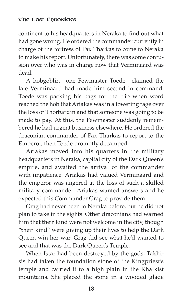continent to his headquarters in Neraka to find out what had gone wrong. He ordered the commander currently in charge of the fortress of Pax Tharkas to come to Neraka to make his report. Unfortunately, there was some confusion over who was in charge now that Verminaard was dead.

A hobgoblin—one Fewmaster Toede—claimed the late Verminaard had made him second in command. Toede was packing his bags for the trip when word reached the hob that Ariakas was in a towering rage over the loss of Thorbardin and that someone was going to be made to pay. At this, the Fewmaster suddenly remembered he had urgent business elsewhere. He ordered the draconian commander of Pax Tharkas to report to the Emperor, then Toede promptly decamped.

Ariakas moved into his quarters in the military headquarters in Neraka, capital city of the Dark Queen's empire, and awaited the arrival of the commander with impatience. Ariakas had valued Verminaard and the emperor was angered at the loss of such a skilled military commander. Ariakas wanted answers and he expected this Commander Grag to provide them.

Grag had never been to Neraka before, but he did not plan to take in the sights. Other draconians had warned him that their kind were not welcome in the city, though "their kind" were giving up their lives to help the Dark Queen win her war. Grag did see what he'd wanted to see and that was the Dark Queen's Temple.

When Istar had been destroyed by the gods, Takhisis had taken the foundation stone of the Kingpriest's temple and carried it to a high plain in the Khalkist mountains. She placed the stone in a wooded glade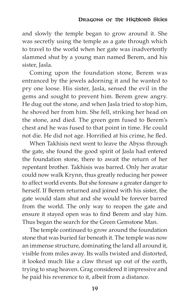and slowly the temple began to grow around it. She was secretly using the temple as a gate through which to travel to the world when her gate was inadvertently slammed shut by a young man named Berem, and his sister, Jasla.

Coming upon the foundation stone, Berem was entranced by the jewels adorning it and he wanted to pry one loose. His sister, Jasla, sensed the evil in the gems and sought to prevent him. Berem grew angry. He dug out the stone, and when Jasla tried to stop him, he shoved her from him. She fell, striking her head on the stone, and died. The green gem fused to Berem's chest and he was fused to that point in time. He could not die. He did not age. Horrified at his crime, he fled.

When Takhisis next went to leave the Abyss through the gate, she found the good spirit of Jasla had entered the foundation stone, there to await the return of her repentant brother. Takhisis was barred. Only her avatar could now walk Krynn, thus greatly reducing her power to affect world events. But she foresaw a greater danger to herself. If Berem returned and joined with his sister, the gate would slam shut and she would be forever barred from the world. The only way to reopen the gate and ensure it stayed open was to find Berem and slay him. Thus began the search for the Green Gemstone Man.

The temple continued to grow around the foundation stone that was buried far beneath it. The temple was now an immense structure, dominating the land all around it, visible from miles away. Its walls twisted and distorted, it looked much like a claw thrust up out of the earth, trying to snag heaven. Grag considered it impressive and he paid his reverence to it, albeit from a distance.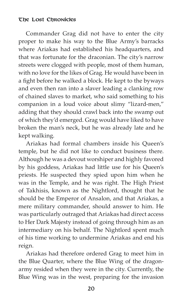Commander Grag did not have to enter the city proper to make his way to the Blue Army's barracks where Ariakas had established his headquarters, and that was fortunate for the draconian. The city's narrow streets were clogged with people, most of them human, with no love for the likes of Grag. He would have been in a fight before he walked a block. He kept to the byways and even then ran into a slaver leading a clanking row of chained slaves to market, who said something to his companion in a loud voice about slimy "lizard-men," adding that they should crawl back into the swamp out of which they'd emerged. Grag would have liked to have broken the man's neck, but he was already late and he kept walking.

Ariakas had formal chambers inside his Queen's temple, but he did not like to conduct business there. Although he was a devout worshiper and highly favored by his goddess, Ariakas had little use for his Queen's priests. He suspected they spied upon him when he was in the Temple, and he was right. The High Priest of Takhisis, known as the Nightlord, thought that he should be the Emperor of Ansalon, and that Ariakas, a mere military commander, should answer to him. He was particularly outraged that Ariakas had direct access to Her Dark Majesty instead of going through him as an intermediary on his behalf. The Nightlord spent much of his time working to undermine Ariakas and end his reign.

Ariakas had therefore ordered Grag to meet him in the Blue Quarter, where the Blue Wing of the dragonarmy resided when they were in the city. Currently, the Blue Wing was in the west, preparing for the invasion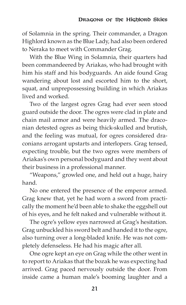of Solamnia in the spring. Their commander, a Dragon Highlord known as the Blue Lady, had also been ordered to Neraka to meet with Commander Grag.

With the Blue Wing in Solamnia, their quarters had been commandeered by Ariakas, who had brought with him his staff and his bodyguards. An aide found Grag wandering about lost and escorted him to the short, squat, and unprepossessing building in which Ariakas lived and worked.

Two of the largest ogres Grag had ever seen stood guard outside the door. The ogres were clad in plate and chain mail armor and were heavily armed. The draconian detested ogres as being thick-skulled and brutish, and the feeling was mutual, for ogres considered draconians arrogant upstarts and interlopers. Grag tensed, expecting trouble, but the two ogres were members of Ariakas's own personal bodyguard and they went about their business in a professional manner.

"Weapons," growled one, and held out a huge, hairy hand.

No one entered the presence of the emperor armed. Grag knew that, yet he had worn a sword from practically the moment he'd been able to shake the eggshell out of his eyes, and he felt naked and vulnerable without it.

The ogre's yellow eyes narrowed at Grag's hesitation. Grag unbuckled his sword belt and handed it to the ogre, also turning over a long-bladed knife. He was not completely defenseless. He had his magic after all.

One ogre kept an eye on Grag while the other went in to report to Ariakas that the bozak he was expecting had arrived. Grag paced nervously outside the door. From inside came a human male's booming laughter and a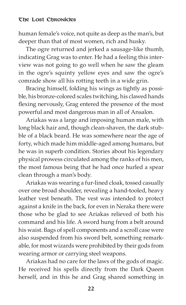human female's voice, not quite as deep as the man's, but deeper than that of most women, rich and husky.

The ogre returned and jerked a sausage-like thumb, indicating Grag was to enter. He had a feeling this interview was not going to go well when he saw the gleam in the ogre's squinty yellow eyes and saw the ogre's comrade show all his rotting teeth in a wide grin.

Bracing himself, folding his wings as tightly as possible, his bronze-colored scales twitching, his clawed hands flexing nervously, Grag entered the presence of the most powerful and most dangerous man in all of Ansalon.

Ariakas was a large and imposing human male, with long black hair and, though clean-shaven, the dark stubble of a black beard. He was somewhere near the age of forty, which made him middle-aged among humans, but he was in superb condition. Stories about his legendary physical prowess circulated among the ranks of his men, the most famous being that he had once hurled a spear clean through a man's body.

Ariakas was wearing a fur-lined cloak, tossed casually over one broad shoulder, revealing a hand-tooled, heavy leather vest beneath. The vest was intended to protect against a knife in the back, for even in Neraka there were those who be glad to see Ariakas relieved of both his command and his life. A sword hung from a belt around his waist. Bags of spell components and a scroll case were also suspended from his sword belt, something remarkable, for most wizards were prohibited by their gods from wearing armor or carrying steel weapons.

Ariakas had no care for the laws of the gods of magic. He received his spells directly from the Dark Queen herself, and in this he and Grag shared something in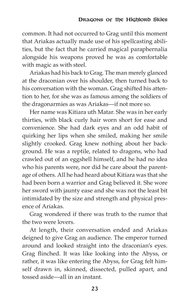common. It had not occurred to Grag until this moment that Ariakas actually made use of his spellcasting abilities, but the fact that he carried magical paraphernalia alongside his weapons proved he was as comfortable with magic as with steel.

Ariakas had his back to Grag. The man merely glanced at the draconian over his shoulder, then turned back to his conversation with the woman. Grag shifted his attention to her, for she was as famous among the soldiers of the dragonarmies as was Ariakas—if not more so.

Her name was Kitiara uth Matar. She was in her early thirties, with black curly hair worn short for ease and convenience. She had dark eyes and an odd habit of quirking her lips when she smiled, making her smile slightly crooked. Grag knew nothing about her background. He was a reptile, related to dragons, who had crawled out of an eggshell himself, and he had no idea who his parents were, nor did he care about the parentage of others. All he had heard about Kitiara was that she had been born a warrior and Grag believed it. She wore her sword with jaunty ease and she was not the least bit intimidated by the size and strength and physical presence of Ariakas.

Grag wondered if there was truth to the rumor that the two were lovers.

At length, their conversation ended and Ariakas deigned to give Grag an audience. The emperor turned around and looked straight into the draconian's eyes. Grag flinched. It was like looking into the Abyss, or rather, it was like entering the Abyss, for Grag felt himself drawn in, skinned, dissected, pulled apart, and tossed aside—all in an instant.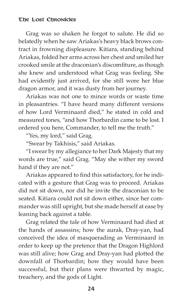Grag was so shaken he forgot to salute. He did so belatedly when he saw Ariakas's heavy black brows contract in frowning displeasure. Kitiara, standing behind Ariakas, folded her arms across her chest and smiled her crooked smile at the draconian's discomfiture, as though she knew and understood what Grag was feeling. She had evidently just arrived, for she still wore her blue dragon armor, and it was dusty from her journey.

Ariakas was not one to mince words or waste time in pleasantries. "I have heard many different versions of how Lord Verminaard died," he stated in cold and measured tones, "and how Thorbardin came to be lost. I ordered you here, Commander, to tell me the truth."

"Yes, my lord," said Grag.

"Swear by Takhisis," said Ariakas.

"I swear by my allegiance to her Dark Majesty that my words are true," said Grag. "May she wither my sword hand if they are not."

Ariakas appeared to find this satisfactory, for he indicated with a gesture that Grag was to proceed. Ariakas did not sit down, nor did he invite the draconian to be seated. Kitiara could not sit down either, since her commander was still upright, but she made herself at ease by leaning back against a table.

Grag related the tale of how Verminaard had died at the hands of assassins; how the aurak, Dray-yan, had conceived the idea of masquerading as Verminaard in order to keep up the pretence that the Dragon Highlord was still alive; how Grag and Dray-yan had plotted the downfall of Thorbardin; how they would have been successful, but their plans were thwarted by magic, treachery, and the gods of Light.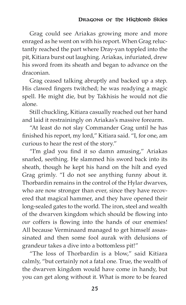Grag could see Ariakas growing more and more enraged as he went on with his report. When Grag reluctantly reached the part where Dray-yan toppled into the pit, Kitiara burst out laughing. Ariakas, infuriated, drew his sword from its sheath and began to advance on the draconian.

Grag ceased talking abruptly and backed up a step. His clawed fingers twitched; he was readying a magic spell. He might die, but by Takhisis he would not die alone.

Still chuckling, Kitiara casually reached out her hand and laid it restrainingly on Ariakas's massive forearm.

"At least do not slay Commander Grag until he has finished his report, my lord," Kitiara said. "I, for one, am curious to hear the rest of the story."

"I'm glad you find it so damn amusing," Ariakas snarled, seething. He slammed his sword back into its sheath, though he kept his hand on the hilt and eyed Grag grimly. "I do not see anything funny about it. Thorbardin remains in the control of the Hylar dwarves, who are now stronger than ever, since they have recovered that magical hammer, and they have opened their long-sealed gates to the world. The iron, steel and wealth of the dwarven kingdom which should be flowing into *our* coffers is flowing into the hands of our enemies! All because Verminaard managed to get himself assassinated and then some fool aurak with delusions of grandeur takes a dive into a bottomless pit!"

"The loss of Thorbardin is a blow," said Kitiara calmly, "but certainly not a fatal one. True, the wealth of the dwarven kingdom would have come in handy, but you can get along without it. What is more to be feared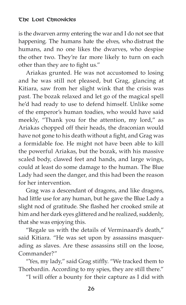is the dwarven army entering the war and I do not see that happening. The humans hate the elves, who distrust the humans, and no one likes the dwarves, who despise the other two. They're far more likely to turn on each other than they are to fight us."

Ariakas grunted. He was not accustomed to losing and he was still not pleased, but Grag, glancing at Kitiara, saw from her slight wink that the crisis was past. The bozak relaxed and let go of the magical spell he'd had ready to use to defend himself. Unlike some of the emperor's human toadies, who would have said meekly, "Thank you for the attention, my lord," as Ariakas chopped off their heads, the draconian would have not gone to his death without a fight, and Grag was a formidable foe. He might not have been able to kill the powerful Ariakas, but the bozak, with his massive scaled body, clawed feet and hands, and large wings, could at least do some damage to the human. The Blue Lady had seen the danger, and this had been the reason for her intervention.

Grag was a descendant of dragons, and like dragons, had little use for any human, but he gave the Blue Lady a slight nod of gratitude. She flashed her crooked smile at him and her dark eyes glittered and he realized, suddenly, that she was enjoying this.

"Regale us with the details of Verminaard's death," said Kitiara. "He was set upon by assassins masquerading as slaves. Are these assassins still on the loose, Commander?"

"Yes, my lady," said Grag stiffly. "We tracked them to Thorbardin. According to my spies, they are still there."

"I will offer a bounty for their capture as I did with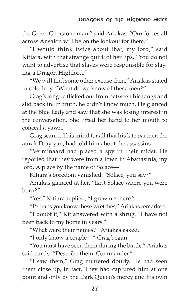the Green Gemstone man," said Ariakas. "Our forces all across Ansalon will be on the lookout for them."

"I would think twice about that, my lord," said Kitiara, with that strange quirk of her lips. "You do not want to advertise that slaves were responsible for slaying a Dragon Highlord."

"We will find some other excuse then," Ariakas stated in cold fury. "What do we know of these men?"

Grag's tongue flicked out from between his fangs and slid back in. In truth, he didn't know much. He glanced at the Blue Lady and saw that she was losing interest in the conversation. She lifted her hand to her mouth to conceal a yawn.

Grag scanned his mind for all that his late partner, the aurak Dray-yan, had told him about the assassins.

"Verminaard had placed a spy in their midst. He reported that they were from a town in Abanasinia, my lord. A place by the name of Solace—"

Kitiara's boredom vanished. "Solace, you say?"

Ariakas glanced at her. "Isn't Solace where you were born?"

"Yes," Kitiara replied, "I grew up there."

"Perhaps you know these wretches," Ariakas remarked.

"I doubt it," Kit answered with a shrug. "I have not been back to my home in years."

"What were their names?" Ariakas asked.

"I only know a couple—" Grag began.

"You must have seen them during the battle," Ariakas said curtly. "Describe them, Commander."

"I saw them," Grag muttered dourly. He had seen them close up, in fact. They had captured him at one point and only by the Dark Queen's mercy and his own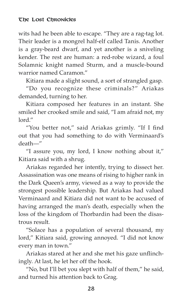wits had he been able to escape. "They are a rag-tag lot. Their leader is a mongrel half-elf called Tanis. Another is a gray-beard dwarf, and yet another is a sniveling kender. The rest are human: a red-robe wizard, a foul Solamnic knight named Sturm, and a muscle-bound warrior named Caramon."

Kitiara made a slight sound, a sort of strangled gasp.

"Do you recognize these criminals?" Ariakas demanded, turning to her.

Kitiara composed her features in an instant. She smiled her crooked smile and said, "I am afraid not, my lord."

"You better not," said Ariakas grimly. "If I find out that you had something to do with Verminaard's death—"

"I assure you, my lord, I know nothing about it," Kitiara said with a shrug.

Ariakas regarded her intently, trying to dissect her. Assassination was one means of rising to higher rank in the Dark Queen's army, viewed as a way to provide the strongest possible leadership. But Ariakas had valued Verminaard and Kitiara did not want to be accused of having arranged the man's death, especially when the loss of the kingdom of Thorbardin had been the disastrous result.

"Solace has a population of several thousand, my lord," Kitiara said, growing annoyed. "I did not know every man in town."

Ariakas stared at her and she met his gaze unflinchingly. At last, he let her off the hook.

"No, but I'll bet you slept with half of them," he said, and turned his attention back to Grag.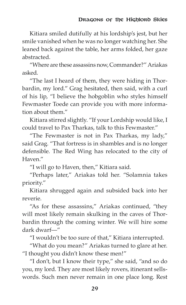Kitiara smiled dutifully at his lordship's jest, but her smile vanished when he was no longer watching her. She leaned back against the table, her arms folded, her gaze abstracted.

"Where are these assassins now, Commander?" Ariakas asked.

"The last I heard of them, they were hiding in Thorbardin, my lord." Grag hesitated, then said, with a curl of his lip, "I believe the hobgoblin who styles himself Fewmaster Toede can provide you with more information about them."

Kitiara stirred slightly. "If your Lordship would like, I could travel to Pax Tharkas, talk to this Fewmaster."

"The Fewmaster is not in Pax Tharkas, my lady," said Grag. "That fortress is in shambles and is no longer defensible. The Red Wing has relocated to the city of Haven."

"I will go to Haven, then," Kitiara said.

"Perhaps later," Ariakas told her. "Solamnia takes priority."

Kitiara shrugged again and subsided back into her reverie.

"As for these assassins," Ariakas continued, "they will most likely remain skulking in the caves of Thorbardin through the coming winter. We will hire some dark dwarf—"

"I wouldn't be too sure of that," Kitiara interrupted.

"What do you mean?" Ariakas turned to glare at her. "I thought you didn't know these men!"

"I don't, but I know their type," she said, "and so do you, my lord. They are most likely rovers, itinerant sellswords. Such men never remain in one place long. Rest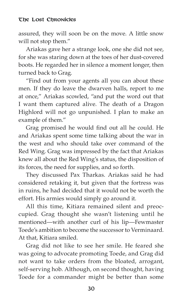assured, they will soon be on the move. A little snow will not stop them."

Ariakas gave her a strange look, one she did not see, for she was staring down at the toes of her dust-covered boots. He regarded her in silence a moment longer, then turned back to Grag.

"Find out from your agents all you can about these men. If they do leave the dwarven halls, report to me at once," Ariakas scowled, "and put the word out that I want them captured alive. The death of a Dragon Highlord will not go unpunished. I plan to make an example of them."

Grag promised he would find out all he could. He and Ariakas spent some time talking about the war in the west and who should take over command of the Red Wing. Grag was impressed by the fact that Ariakas knew all about the Red Wing's status, the disposition of its forces, the need for supplies, and so forth.

They discussed Pax Tharkas. Ariakas said he had considered retaking it, but given that the fortress was in ruins, he had decided that it would not be worth the effort. His armies would simply go around it.

All this time, Kitiara remained silent and preoccupied. Grag thought she wasn't listening until he mentioned—with another curl of his lip—Fewmaster Toede's ambition to become the successor to Verminaard. At that, Kitiara smiled.

Grag did not like to see her smile. He feared she was going to advocate promoting Toede, and Grag did not want to take orders from the bloated, arrogant, self-serving hob. Although, on second thought, having Toede for a commander might be better than some